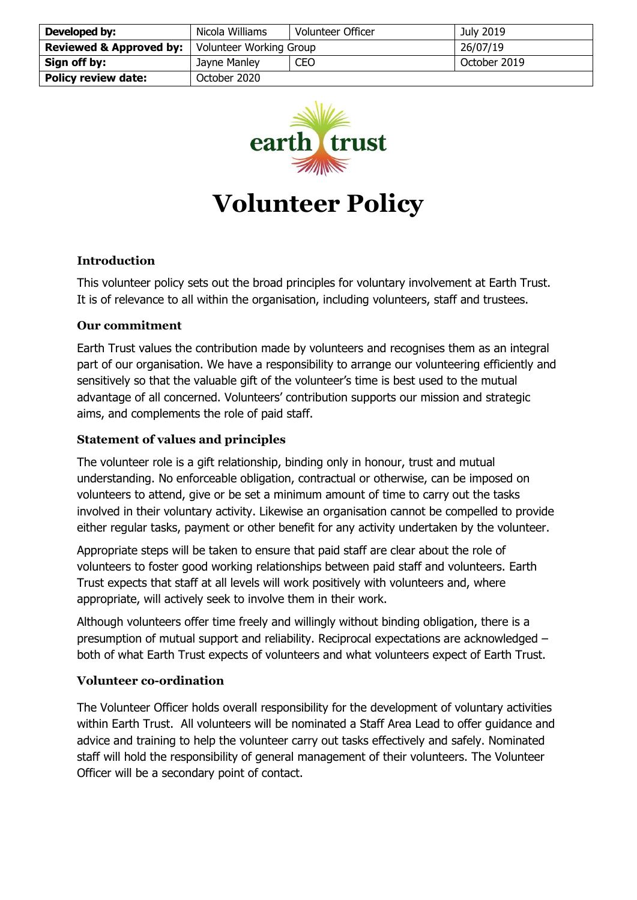| Developed by:                      | Nicola Williams         | Volunteer Officer | July 2019    |
|------------------------------------|-------------------------|-------------------|--------------|
| <b>Reviewed &amp; Approved by:</b> | Volunteer Working Group |                   | 26/07/19     |
| Sign off by:                       | Jayne Manley            | CEO               | October 2019 |
| <b>Policy review date:</b>         | October 2020            |                   |              |



# **Volunteer Policy**

### **Introduction**

This volunteer policy sets out the broad principles for voluntary involvement at Earth Trust. It is of relevance to all within the organisation, including volunteers, staff and trustees.

### **Our commitment**

Earth Trust values the contribution made by volunteers and recognises them as an integral part of our organisation. We have a responsibility to arrange our volunteering efficiently and sensitively so that the valuable gift of the volunteer's time is best used to the mutual advantage of all concerned. Volunteers' contribution supports our mission and strategic aims, and complements the role of paid staff.

## **Statement of values and principles**

The volunteer role is a gift relationship, binding only in honour, trust and mutual understanding. No enforceable obligation, contractual or otherwise, can be imposed on volunteers to attend, give or be set a minimum amount of time to carry out the tasks involved in their voluntary activity. Likewise an organisation cannot be compelled to provide either regular tasks, payment or other benefit for any activity undertaken by the volunteer.

Appropriate steps will be taken to ensure that paid staff are clear about the role of volunteers to foster good working relationships between paid staff and volunteers. Earth Trust expects that staff at all levels will work positively with volunteers and, where appropriate, will actively seek to involve them in their work.

Although volunteers offer time freely and willingly without binding obligation, there is a presumption of mutual support and reliability. Reciprocal expectations are acknowledged – both of what Earth Trust expects of volunteers and what volunteers expect of Earth Trust.

### **Volunteer co-ordination**

The Volunteer Officer holds overall responsibility for the development of voluntary activities within Earth Trust. All volunteers will be nominated a Staff Area Lead to offer guidance and advice and training to help the volunteer carry out tasks effectively and safely. Nominated staff will hold the responsibility of general management of their volunteers. The Volunteer Officer will be a secondary point of contact.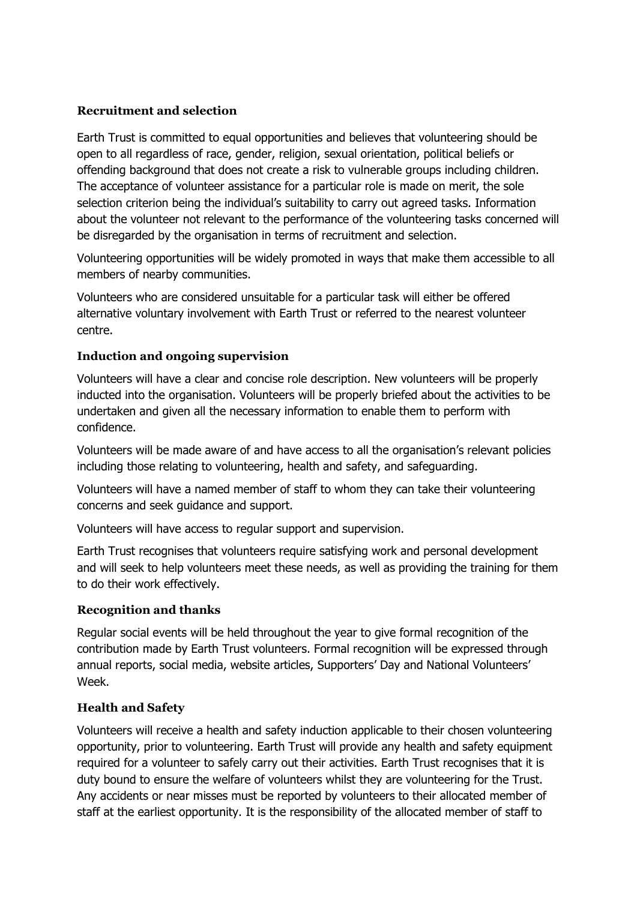## **Recruitment and selection**

Earth Trust is committed to equal opportunities and believes that volunteering should be open to all regardless of race, gender, religion, sexual orientation, political beliefs or offending background that does not create a risk to vulnerable groups including children. The acceptance of volunteer assistance for a particular role is made on merit, the sole selection criterion being the individual's suitability to carry out agreed tasks. Information about the volunteer not relevant to the performance of the volunteering tasks concerned will be disregarded by the organisation in terms of recruitment and selection.

Volunteering opportunities will be widely promoted in ways that make them accessible to all members of nearby communities.

Volunteers who are considered unsuitable for a particular task will either be offered alternative voluntary involvement with Earth Trust or referred to the nearest volunteer centre.

## **Induction and ongoing supervision**

Volunteers will have a clear and concise role description. New volunteers will be properly inducted into the organisation. Volunteers will be properly briefed about the activities to be undertaken and given all the necessary information to enable them to perform with confidence.

Volunteers will be made aware of and have access to all the organisation's relevant policies including those relating to volunteering, health and safety, and safeguarding.

Volunteers will have a named member of staff to whom they can take their volunteering concerns and seek guidance and support.

Volunteers will have access to regular support and supervision.

Earth Trust recognises that volunteers require satisfying work and personal development and will seek to help volunteers meet these needs, as well as providing the training for them to do their work effectively.

### **Recognition and thanks**

Regular social events will be held throughout the year to give formal recognition of the contribution made by Earth Trust volunteers. Formal recognition will be expressed through annual reports, social media, website articles, Supporters' Day and National Volunteers' Week.

### **Health and Safety**

Volunteers will receive a health and safety induction applicable to their chosen volunteering opportunity, prior to volunteering. Earth Trust will provide any health and safety equipment required for a volunteer to safely carry out their activities. Earth Trust recognises that it is duty bound to ensure the welfare of volunteers whilst they are volunteering for the Trust. Any accidents or near misses must be reported by volunteers to their allocated member of staff at the earliest opportunity. It is the responsibility of the allocated member of staff to